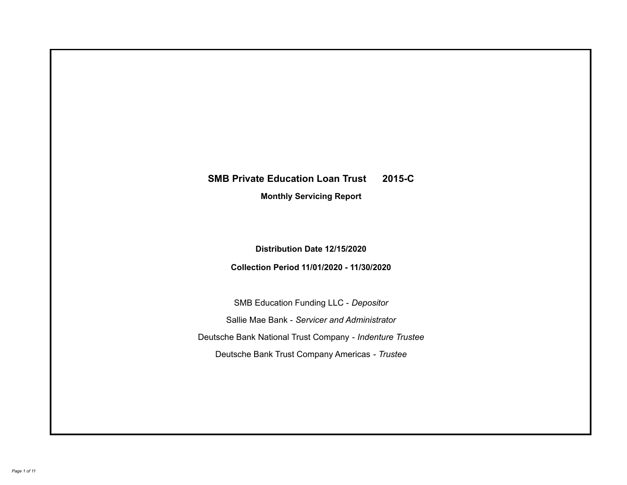# **SMB Private Education Loan Trust 2015-C Monthly Servicing Report**

**Distribution Date 12/15/2020**

**Collection Period 11/01/2020 - 11/30/2020**

SMB Education Funding LLC - *Depositor* Sallie Mae Bank - *Servicer and Administrator* Deutsche Bank National Trust Company - *Indenture Trustee* Deutsche Bank Trust Company Americas - *Trustee*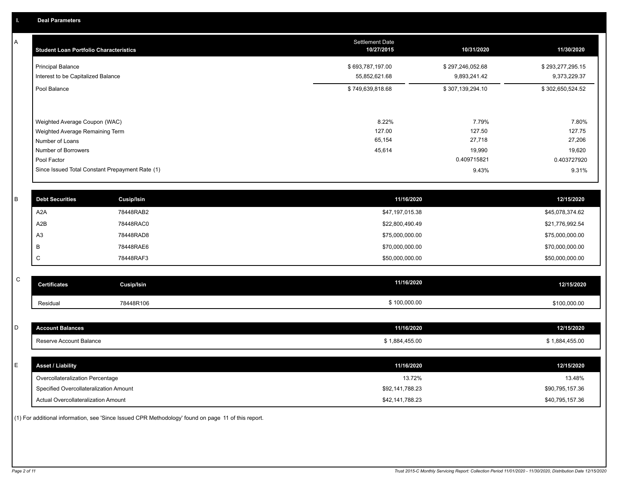A

| <b>Student Loan Portfolio Characteristics</b>                    | <b>Settlement Date</b><br>10/27/2015 | 10/31/2020                       | 11/30/2020                       |
|------------------------------------------------------------------|--------------------------------------|----------------------------------|----------------------------------|
| <b>Principal Balance</b><br>Interest to be Capitalized Balance   | \$693,787,197.00<br>55,852,621.68    | \$297,246,052.68<br>9,893,241.42 | \$293,277,295.15<br>9,373,229.37 |
| Pool Balance                                                     | \$749,639,818.68                     | \$307,139,294.10                 | \$302,650,524.52                 |
| Weighted Average Coupon (WAC)<br>Weighted Average Remaining Term | 8.22%<br>127.00                      | 7.79%<br>127.50                  | 7.80%<br>127.75                  |
| Number of Loans                                                  | 65,154                               | 27,718                           | 27,206                           |
| Number of Borrowers                                              | 45,614                               | 19,990                           | 19,620                           |
| Pool Factor                                                      |                                      | 0.409715821                      | 0.403727920                      |
| Since Issued Total Constant Prepayment Rate (1)                  |                                      | 9.43%                            | 9.31%                            |

| <b>Debt Securities</b> | Cusip/Isin | 11/16/2020      | 12/15/2020      |
|------------------------|------------|-----------------|-----------------|
| A2A                    | 78448RAB2  | \$47,197,015.38 | \$45,078,374.62 |
| A2B                    | 78448RAC0  | \$22,800,490.49 | \$21,776,992.54 |
| A <sub>3</sub>         | 78448RAD8  | \$75,000,000.00 | \$75,000,000.00 |
| B                      | 78448RAE6  | \$70,000,000.00 | \$70,000,000.00 |
|                        | 78448RAF3  | \$50,000,000.00 | \$50,000,000.00 |

| $\sim$<br>◡ | <b>Certificates</b> | Cusip/Isin | 11/16/2020   | 12/15/2020   |
|-------------|---------------------|------------|--------------|--------------|
|             | Residual            | 78448R106  | \$100,000.00 | \$100,000.00 |

| <b>Account Balances</b>                | 11/16/2020      | 12/15/2020      |
|----------------------------------------|-----------------|-----------------|
| Reserve Account Balance                | \$1,884,455.00  | \$1,884,455.00  |
|                                        |                 |                 |
| <b>Asset / Liability</b>               | 11/16/2020      | 12/15/2020      |
| Overcollateralization Percentage       | 13.72%          | 13.48%          |
| Specified Overcollateralization Amount | \$92,141,788.23 | \$90,795,157.36 |
| Actual Overcollateralization Amount    | \$42,141,788.23 | \$40,795,157.36 |

(1) For additional information, see 'Since Issued CPR Methodology' found on page 11 of this report.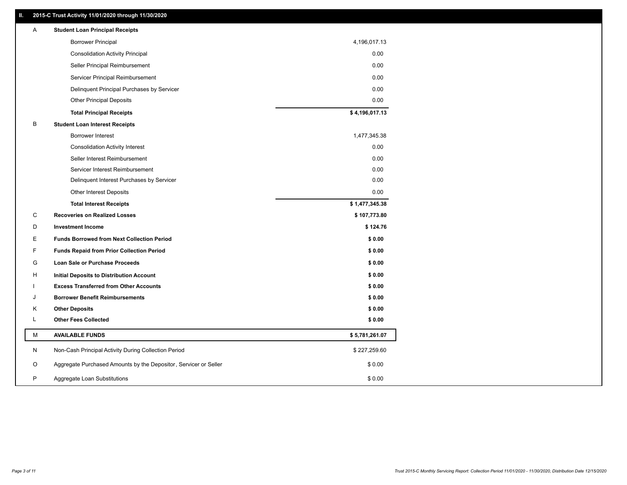### **II. 2015-C Trust Activity 11/01/2020 through 11/30/2020**

| <b>Borrower Principal</b><br>4,196,017.13<br>0.00<br><b>Consolidation Activity Principal</b><br>Seller Principal Reimbursement<br>0.00<br>Servicer Principal Reimbursement<br>0.00<br>Delinquent Principal Purchases by Servicer<br>0.00<br>0.00<br><b>Other Principal Deposits</b><br>\$4,196,017.13<br><b>Total Principal Receipts</b><br>В<br><b>Student Loan Interest Receipts</b><br>1,477,345.38<br><b>Borrower Interest</b><br>0.00<br><b>Consolidation Activity Interest</b><br>Seller Interest Reimbursement<br>0.00<br>0.00<br>Servicer Interest Reimbursement<br>0.00<br>Delinquent Interest Purchases by Servicer<br>0.00<br>Other Interest Deposits<br><b>Total Interest Receipts</b><br>\$1,477,345.38<br>С<br><b>Recoveries on Realized Losses</b><br>\$107,773.80<br>D<br>\$124.76<br><b>Investment Income</b><br>E<br>\$0.00<br><b>Funds Borrowed from Next Collection Period</b><br>F.<br>\$0.00<br><b>Funds Repaid from Prior Collection Period</b><br>G<br>\$0.00<br>Loan Sale or Purchase Proceeds<br>H<br>\$0.00<br>Initial Deposits to Distribution Account<br>\$0.00<br><b>Excess Transferred from Other Accounts</b><br>J<br><b>Borrower Benefit Reimbursements</b><br>\$0.00<br><b>Other Deposits</b><br>\$0.00<br>Κ<br>L.<br><b>Other Fees Collected</b><br>\$0.00<br>М<br><b>AVAILABLE FUNDS</b><br>\$5,781,261.07<br>N<br>Non-Cash Principal Activity During Collection Period<br>\$227,259.60<br>Aggregate Purchased Amounts by the Depositor, Servicer or Seller<br>O<br>\$0.00<br>P<br>\$0.00<br>Aggregate Loan Substitutions | Α | <b>Student Loan Principal Receipts</b> |  |
|---------------------------------------------------------------------------------------------------------------------------------------------------------------------------------------------------------------------------------------------------------------------------------------------------------------------------------------------------------------------------------------------------------------------------------------------------------------------------------------------------------------------------------------------------------------------------------------------------------------------------------------------------------------------------------------------------------------------------------------------------------------------------------------------------------------------------------------------------------------------------------------------------------------------------------------------------------------------------------------------------------------------------------------------------------------------------------------------------------------------------------------------------------------------------------------------------------------------------------------------------------------------------------------------------------------------------------------------------------------------------------------------------------------------------------------------------------------------------------------------------------------------------------------------------------------|---|----------------------------------------|--|
|                                                                                                                                                                                                                                                                                                                                                                                                                                                                                                                                                                                                                                                                                                                                                                                                                                                                                                                                                                                                                                                                                                                                                                                                                                                                                                                                                                                                                                                                                                                                                               |   |                                        |  |
|                                                                                                                                                                                                                                                                                                                                                                                                                                                                                                                                                                                                                                                                                                                                                                                                                                                                                                                                                                                                                                                                                                                                                                                                                                                                                                                                                                                                                                                                                                                                                               |   |                                        |  |
|                                                                                                                                                                                                                                                                                                                                                                                                                                                                                                                                                                                                                                                                                                                                                                                                                                                                                                                                                                                                                                                                                                                                                                                                                                                                                                                                                                                                                                                                                                                                                               |   |                                        |  |
|                                                                                                                                                                                                                                                                                                                                                                                                                                                                                                                                                                                                                                                                                                                                                                                                                                                                                                                                                                                                                                                                                                                                                                                                                                                                                                                                                                                                                                                                                                                                                               |   |                                        |  |
|                                                                                                                                                                                                                                                                                                                                                                                                                                                                                                                                                                                                                                                                                                                                                                                                                                                                                                                                                                                                                                                                                                                                                                                                                                                                                                                                                                                                                                                                                                                                                               |   |                                        |  |
|                                                                                                                                                                                                                                                                                                                                                                                                                                                                                                                                                                                                                                                                                                                                                                                                                                                                                                                                                                                                                                                                                                                                                                                                                                                                                                                                                                                                                                                                                                                                                               |   |                                        |  |
|                                                                                                                                                                                                                                                                                                                                                                                                                                                                                                                                                                                                                                                                                                                                                                                                                                                                                                                                                                                                                                                                                                                                                                                                                                                                                                                                                                                                                                                                                                                                                               |   |                                        |  |
|                                                                                                                                                                                                                                                                                                                                                                                                                                                                                                                                                                                                                                                                                                                                                                                                                                                                                                                                                                                                                                                                                                                                                                                                                                                                                                                                                                                                                                                                                                                                                               |   |                                        |  |
|                                                                                                                                                                                                                                                                                                                                                                                                                                                                                                                                                                                                                                                                                                                                                                                                                                                                                                                                                                                                                                                                                                                                                                                                                                                                                                                                                                                                                                                                                                                                                               |   |                                        |  |
|                                                                                                                                                                                                                                                                                                                                                                                                                                                                                                                                                                                                                                                                                                                                                                                                                                                                                                                                                                                                                                                                                                                                                                                                                                                                                                                                                                                                                                                                                                                                                               |   |                                        |  |
|                                                                                                                                                                                                                                                                                                                                                                                                                                                                                                                                                                                                                                                                                                                                                                                                                                                                                                                                                                                                                                                                                                                                                                                                                                                                                                                                                                                                                                                                                                                                                               |   |                                        |  |
|                                                                                                                                                                                                                                                                                                                                                                                                                                                                                                                                                                                                                                                                                                                                                                                                                                                                                                                                                                                                                                                                                                                                                                                                                                                                                                                                                                                                                                                                                                                                                               |   |                                        |  |
|                                                                                                                                                                                                                                                                                                                                                                                                                                                                                                                                                                                                                                                                                                                                                                                                                                                                                                                                                                                                                                                                                                                                                                                                                                                                                                                                                                                                                                                                                                                                                               |   |                                        |  |
|                                                                                                                                                                                                                                                                                                                                                                                                                                                                                                                                                                                                                                                                                                                                                                                                                                                                                                                                                                                                                                                                                                                                                                                                                                                                                                                                                                                                                                                                                                                                                               |   |                                        |  |
|                                                                                                                                                                                                                                                                                                                                                                                                                                                                                                                                                                                                                                                                                                                                                                                                                                                                                                                                                                                                                                                                                                                                                                                                                                                                                                                                                                                                                                                                                                                                                               |   |                                        |  |
|                                                                                                                                                                                                                                                                                                                                                                                                                                                                                                                                                                                                                                                                                                                                                                                                                                                                                                                                                                                                                                                                                                                                                                                                                                                                                                                                                                                                                                                                                                                                                               |   |                                        |  |
|                                                                                                                                                                                                                                                                                                                                                                                                                                                                                                                                                                                                                                                                                                                                                                                                                                                                                                                                                                                                                                                                                                                                                                                                                                                                                                                                                                                                                                                                                                                                                               |   |                                        |  |
|                                                                                                                                                                                                                                                                                                                                                                                                                                                                                                                                                                                                                                                                                                                                                                                                                                                                                                                                                                                                                                                                                                                                                                                                                                                                                                                                                                                                                                                                                                                                                               |   |                                        |  |
|                                                                                                                                                                                                                                                                                                                                                                                                                                                                                                                                                                                                                                                                                                                                                                                                                                                                                                                                                                                                                                                                                                                                                                                                                                                                                                                                                                                                                                                                                                                                                               |   |                                        |  |
|                                                                                                                                                                                                                                                                                                                                                                                                                                                                                                                                                                                                                                                                                                                                                                                                                                                                                                                                                                                                                                                                                                                                                                                                                                                                                                                                                                                                                                                                                                                                                               |   |                                        |  |
|                                                                                                                                                                                                                                                                                                                                                                                                                                                                                                                                                                                                                                                                                                                                                                                                                                                                                                                                                                                                                                                                                                                                                                                                                                                                                                                                                                                                                                                                                                                                                               |   |                                        |  |
|                                                                                                                                                                                                                                                                                                                                                                                                                                                                                                                                                                                                                                                                                                                                                                                                                                                                                                                                                                                                                                                                                                                                                                                                                                                                                                                                                                                                                                                                                                                                                               |   |                                        |  |
|                                                                                                                                                                                                                                                                                                                                                                                                                                                                                                                                                                                                                                                                                                                                                                                                                                                                                                                                                                                                                                                                                                                                                                                                                                                                                                                                                                                                                                                                                                                                                               |   |                                        |  |
|                                                                                                                                                                                                                                                                                                                                                                                                                                                                                                                                                                                                                                                                                                                                                                                                                                                                                                                                                                                                                                                                                                                                                                                                                                                                                                                                                                                                                                                                                                                                                               |   |                                        |  |
|                                                                                                                                                                                                                                                                                                                                                                                                                                                                                                                                                                                                                                                                                                                                                                                                                                                                                                                                                                                                                                                                                                                                                                                                                                                                                                                                                                                                                                                                                                                                                               |   |                                        |  |
|                                                                                                                                                                                                                                                                                                                                                                                                                                                                                                                                                                                                                                                                                                                                                                                                                                                                                                                                                                                                                                                                                                                                                                                                                                                                                                                                                                                                                                                                                                                                                               |   |                                        |  |
|                                                                                                                                                                                                                                                                                                                                                                                                                                                                                                                                                                                                                                                                                                                                                                                                                                                                                                                                                                                                                                                                                                                                                                                                                                                                                                                                                                                                                                                                                                                                                               |   |                                        |  |
|                                                                                                                                                                                                                                                                                                                                                                                                                                                                                                                                                                                                                                                                                                                                                                                                                                                                                                                                                                                                                                                                                                                                                                                                                                                                                                                                                                                                                                                                                                                                                               |   |                                        |  |
|                                                                                                                                                                                                                                                                                                                                                                                                                                                                                                                                                                                                                                                                                                                                                                                                                                                                                                                                                                                                                                                                                                                                                                                                                                                                                                                                                                                                                                                                                                                                                               |   |                                        |  |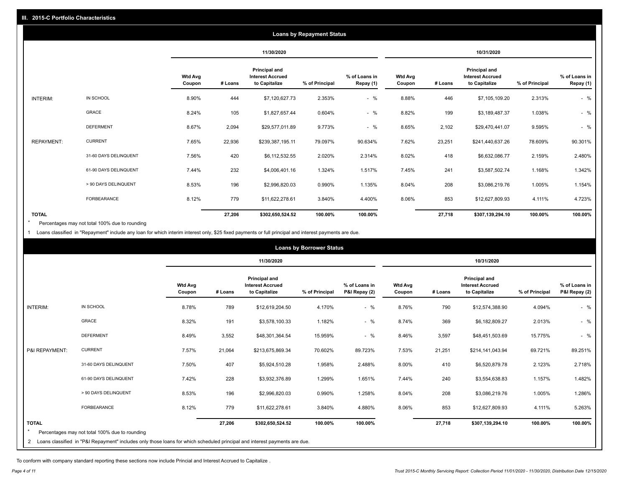| <b>Loans by Repayment Status</b> |                       |                          |         |                                                           |                |                            |                          |         |                                                                  |                |                            |
|----------------------------------|-----------------------|--------------------------|---------|-----------------------------------------------------------|----------------|----------------------------|--------------------------|---------|------------------------------------------------------------------|----------------|----------------------------|
|                                  |                       |                          |         | 11/30/2020                                                |                |                            |                          |         | 10/31/2020                                                       |                |                            |
|                                  |                       | <b>Wtd Avg</b><br>Coupon | # Loans | Principal and<br><b>Interest Accrued</b><br>to Capitalize | % of Principal | % of Loans in<br>Repay (1) | <b>Wtd Avg</b><br>Coupon | # Loans | <b>Principal and</b><br><b>Interest Accrued</b><br>to Capitalize | % of Principal | % of Loans in<br>Repay (1) |
| INTERIM:                         | IN SCHOOL             | 8.90%                    | 444     | \$7,120,627.73                                            | 2.353%         | $-$ %                      | 8.88%                    | 446     | \$7,105,109.20                                                   | 2.313%         | $-$ %                      |
|                                  | <b>GRACE</b>          | 8.24%                    | 105     | \$1,827,657.44                                            | 0.604%         | $-$ %                      | 8.82%                    | 199     | \$3,189,487.37                                                   | 1.038%         | $-$ %                      |
|                                  | <b>DEFERMENT</b>      | 8.67%                    | 2,094   | \$29,577,011.89                                           | 9.773%         | $-$ %                      | 8.65%                    | 2,102   | \$29,470,441.07                                                  | 9.595%         | $-$ %                      |
| <b>REPAYMENT:</b>                | <b>CURRENT</b>        | 7.65%                    | 22,936  | \$239,387,195.11                                          | 79.097%        | 90.634%                    | 7.62%                    | 23,251  | \$241,440,637.26                                                 | 78.609%        | 90.301%                    |
|                                  | 31-60 DAYS DELINQUENT | 7.56%                    | 420     | \$6,112,532.55                                            | 2.020%         | 2.314%                     | 8.02%                    | 418     | \$6,632,086.77                                                   | 2.159%         | 2.480%                     |
|                                  | 61-90 DAYS DELINQUENT | 7.44%                    | 232     | \$4,006,401.16                                            | 1.324%         | 1.517%                     | 7.45%                    | 241     | \$3,587,502.74                                                   | 1.168%         | 1.342%                     |
|                                  | > 90 DAYS DELINQUENT  | 8.53%                    | 196     | \$2,996,820.03                                            | 0.990%         | 1.135%                     | 8.04%                    | 208     | \$3,086,219.76                                                   | 1.005%         | 1.154%                     |
|                                  | FORBEARANCE           | 8.12%                    | 779     | \$11,622,278.61                                           | 3.840%         | 4.400%                     | 8.06%                    | 853     | \$12,627,809.93                                                  | 4.111%         | 4.723%                     |
| <b>TOTAL</b>                     |                       |                          | 27,206  | \$302,650,524.52                                          | 100.00%        | 100.00%                    |                          | 27,718  | \$307,139,294.10                                                 | 100.00%        | 100.00%                    |

Percentages may not total 100% due to rounding \*

1 Loans classified in "Repayment" include any loan for which interim interest only, \$25 fixed payments or full principal and interest payments are due.

| <b>Loans by Borrower Status</b> |                                                                                                                                                                              |                          |         |                                                           |                |                                |                          |         |                                                                  |                |                                |
|---------------------------------|------------------------------------------------------------------------------------------------------------------------------------------------------------------------------|--------------------------|---------|-----------------------------------------------------------|----------------|--------------------------------|--------------------------|---------|------------------------------------------------------------------|----------------|--------------------------------|
|                                 |                                                                                                                                                                              |                          |         | 11/30/2020                                                |                |                                | 10/31/2020               |         |                                                                  |                |                                |
|                                 |                                                                                                                                                                              | <b>Wtd Avg</b><br>Coupon | # Loans | Principal and<br><b>Interest Accrued</b><br>to Capitalize | % of Principal | % of Loans in<br>P&I Repay (2) | <b>Wtd Avg</b><br>Coupon | # Loans | <b>Principal and</b><br><b>Interest Accrued</b><br>to Capitalize | % of Principal | % of Loans in<br>P&I Repay (2) |
| INTERIM:                        | IN SCHOOL                                                                                                                                                                    | 8.78%                    | 789     | \$12,619,204.50                                           | 4.170%         | $-$ %                          | 8.76%                    | 790     | \$12,574,388.90                                                  | 4.094%         | $-$ %                          |
|                                 | <b>GRACE</b>                                                                                                                                                                 | 8.32%                    | 191     | \$3,578,100.33                                            | 1.182%         | $-$ %                          | 8.74%                    | 369     | \$6,182,809.27                                                   | 2.013%         | $-$ %                          |
|                                 | <b>DEFERMENT</b>                                                                                                                                                             | 8.49%                    | 3,552   | \$48,301,364.54                                           | 15.959%        | $-$ %                          | 8.46%                    | 3,597   | \$48,451,503.69                                                  | 15.775%        | $-$ %                          |
| P&I REPAYMENT:                  | <b>CURRENT</b>                                                                                                                                                               | 7.57%                    | 21,064  | \$213,675,869.34                                          | 70.602%        | 89.723%                        | 7.53%                    | 21,251  | \$214,141,043.94                                                 | 69.721%        | 89.251%                        |
|                                 | 31-60 DAYS DELINQUENT                                                                                                                                                        | 7.50%                    | 407     | \$5,924,510.28                                            | 1.958%         | 2.488%                         | 8.00%                    | 410     | \$6,520,879.78                                                   | 2.123%         | 2.718%                         |
|                                 | 61-90 DAYS DELINQUENT                                                                                                                                                        | 7.42%                    | 228     | \$3,932,376.89                                            | 1.299%         | 1.651%                         | 7.44%                    | 240     | \$3,554,638.83                                                   | 1.157%         | 1.482%                         |
|                                 | > 90 DAYS DELINQUENT                                                                                                                                                         | 8.53%                    | 196     | \$2,996,820.03                                            | 0.990%         | 1.258%                         | 8.04%                    | 208     | \$3,086,219.76                                                   | 1.005%         | 1.286%                         |
|                                 | FORBEARANCE                                                                                                                                                                  | 8.12%                    | 779     | \$11,622,278.61                                           | 3.840%         | 4.880%                         | 8.06%                    | 853     | \$12,627,809.93                                                  | 4.111%         | 5.263%                         |
| <b>TOTAL</b><br>$\overline{2}$  | Percentages may not total 100% due to rounding<br>Loans classified in "P&I Repayment" includes only those loans for which scheduled principal and interest payments are due. |                          | 27,206  | \$302,650,524.52                                          | 100.00%        | 100.00%                        |                          | 27,718  | \$307,139,294.10                                                 | 100.00%        | 100.00%                        |

To conform with company standard reporting these sections now include Princial and Interest Accrued to Capitalize .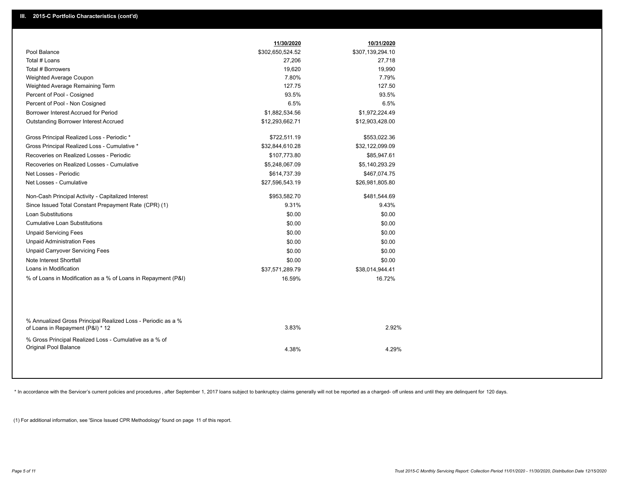|                                                                                                  | 11/30/2020       | 10/31/2020       |  |
|--------------------------------------------------------------------------------------------------|------------------|------------------|--|
| Pool Balance                                                                                     | \$302,650,524.52 | \$307,139,294.10 |  |
| Total # Loans                                                                                    | 27,206           | 27,718           |  |
| Total # Borrowers                                                                                | 19,620           | 19,990           |  |
| Weighted Average Coupon                                                                          | 7.80%            | 7.79%            |  |
| Weighted Average Remaining Term                                                                  | 127.75           | 127.50           |  |
| Percent of Pool - Cosigned                                                                       | 93.5%            | 93.5%            |  |
| Percent of Pool - Non Cosigned                                                                   | 6.5%             | 6.5%             |  |
| Borrower Interest Accrued for Period                                                             | \$1,882,534.56   | \$1,972,224.49   |  |
| <b>Outstanding Borrower Interest Accrued</b>                                                     | \$12,293,662.71  | \$12,903,428.00  |  |
| Gross Principal Realized Loss - Periodic *                                                       | \$722,511.19     | \$553,022.36     |  |
| Gross Principal Realized Loss - Cumulative *                                                     | \$32,844,610.28  | \$32,122,099.09  |  |
| Recoveries on Realized Losses - Periodic                                                         | \$107,773.80     | \$85,947.61      |  |
| Recoveries on Realized Losses - Cumulative                                                       | \$5,248,067.09   | \$5,140,293.29   |  |
| Net Losses - Periodic                                                                            | \$614,737.39     | \$467,074.75     |  |
| Net Losses - Cumulative                                                                          | \$27,596,543.19  | \$26,981,805.80  |  |
| Non-Cash Principal Activity - Capitalized Interest                                               | \$953,582.70     | \$481,544.69     |  |
| Since Issued Total Constant Prepayment Rate (CPR) (1)                                            | 9.31%            | 9.43%            |  |
| <b>Loan Substitutions</b>                                                                        | \$0.00           | \$0.00           |  |
| <b>Cumulative Loan Substitutions</b>                                                             | \$0.00           | \$0.00           |  |
| <b>Unpaid Servicing Fees</b>                                                                     | \$0.00           | \$0.00           |  |
| <b>Unpaid Administration Fees</b>                                                                | \$0.00           | \$0.00           |  |
| <b>Unpaid Carryover Servicing Fees</b>                                                           | \$0.00           | \$0.00           |  |
| Note Interest Shortfall                                                                          | \$0.00           | \$0.00           |  |
| Loans in Modification                                                                            | \$37,571,289.79  | \$38,014,944.41  |  |
| % of Loans in Modification as a % of Loans in Repayment (P&I)                                    | 16.59%           | 16.72%           |  |
|                                                                                                  |                  |                  |  |
| % Annualized Gross Principal Realized Loss - Periodic as a %<br>of Loans in Repayment (P&I) * 12 | 3.83%            | 2.92%            |  |
| % Gross Principal Realized Loss - Cumulative as a % of                                           |                  |                  |  |
| <b>Original Pool Balance</b>                                                                     | 4.38%            | 4.29%            |  |
|                                                                                                  |                  |                  |  |

\* In accordance with the Servicer's current policies and procedures, after September 1, 2017 loans subject to bankruptcy claims generally will not be reported as a charged- off unless and until they are delinquent for 120

(1) For additional information, see 'Since Issued CPR Methodology' found on page 11 of this report.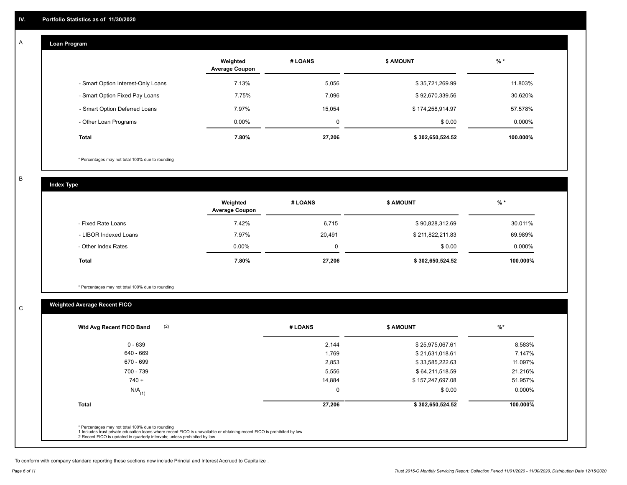#### **Loan Program**  A

|                                    | Weighted<br><b>Average Coupon</b> | # LOANS | <b>\$ AMOUNT</b> | $%$ *    |
|------------------------------------|-----------------------------------|---------|------------------|----------|
| - Smart Option Interest-Only Loans | 7.13%                             | 5,056   | \$35,721,269.99  | 11.803%  |
| - Smart Option Fixed Pay Loans     | 7.75%                             | 7.096   | \$92,670,339.56  | 30.620%  |
| - Smart Option Deferred Loans      | 7.97%                             | 15.054  | \$174,258,914.97 | 57.578%  |
| - Other Loan Programs              | $0.00\%$                          | 0       | \$0.00           | 0.000%   |
| <b>Total</b>                       | 7.80%                             | 27,206  | \$302,650,524.52 | 100.000% |

\* Percentages may not total 100% due to rounding

B

C

**Index Type**

|                       | Weighted<br><b>Average Coupon</b> | # LOANS  | <b>\$ AMOUNT</b> | $%$ *    |
|-----------------------|-----------------------------------|----------|------------------|----------|
| - Fixed Rate Loans    | 7.42%                             | 6,715    | \$90,828,312.69  | 30.011%  |
| - LIBOR Indexed Loans | 7.97%                             | 20,491   | \$211,822,211.83 | 69.989%  |
| - Other Index Rates   | $0.00\%$                          | $\Omega$ | \$0.00           | 0.000%   |
| <b>Total</b>          | 7.80%                             | 27,206   | \$302,650,524.52 | 100.000% |

\* Percentages may not total 100% due to rounding

# **Weighted Average Recent FICO**

|                      |        |                  | $\frac{9}{6}$ * |
|----------------------|--------|------------------|-----------------|
| $0 - 639$            | 2,144  | \$25,975,067.61  | 8.583%          |
| 640 - 669            | 1,769  | \$21,631,018.61  | 7.147%          |
| 670 - 699            | 2,853  | \$33,585,222.63  | 11.097%         |
| 700 - 739            | 5,556  | \$64,211,518.59  | 21.216%         |
| $740 +$              | 14,884 | \$157,247,697.08 | 51.957%         |
| $N/A$ <sub>(1)</sub> | 0      | \$0.00           | $0.000\%$       |
| <b>Total</b>         | 27,206 | \$302,650,524.52 | 100.000%        |

To conform with company standard reporting these sections now include Princial and Interest Accrued to Capitalize .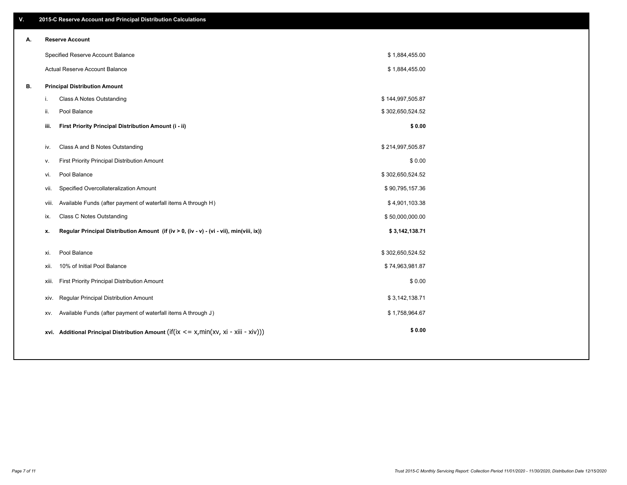| V. |       | 2015-C Reserve Account and Principal Distribution Calculations                             |                  |  |
|----|-------|--------------------------------------------------------------------------------------------|------------------|--|
| А. |       | <b>Reserve Account</b>                                                                     |                  |  |
|    |       | Specified Reserve Account Balance                                                          | \$1,884,455.00   |  |
|    |       | Actual Reserve Account Balance                                                             | \$1,884,455.00   |  |
| В. |       | <b>Principal Distribution Amount</b>                                                       |                  |  |
|    | i.    | Class A Notes Outstanding                                                                  | \$144,997,505.87 |  |
|    | ii.   | Pool Balance                                                                               | \$302,650,524.52 |  |
|    | iii.  | First Priority Principal Distribution Amount (i - ii)                                      | \$0.00           |  |
|    |       |                                                                                            |                  |  |
|    | iv.   | Class A and B Notes Outstanding                                                            | \$214,997,505.87 |  |
|    | v.    | First Priority Principal Distribution Amount                                               | \$0.00           |  |
|    | vi.   | Pool Balance                                                                               | \$302,650,524.52 |  |
|    | vii.  | Specified Overcollateralization Amount                                                     | \$90,795,157.36  |  |
|    | viii. | Available Funds (after payment of waterfall items A through H)                             | \$4,901,103.38   |  |
|    | ix.   | <b>Class C Notes Outstanding</b>                                                           | \$50,000,000.00  |  |
|    | x.    | Regular Principal Distribution Amount (if (iv > 0, (iv - v) - (vi - vii), min(viii, ix))   | \$3,142,138.71   |  |
|    |       |                                                                                            |                  |  |
|    | xi.   | Pool Balance                                                                               | \$302,650,524.52 |  |
|    | xii.  | 10% of Initial Pool Balance                                                                | \$74,963,981.87  |  |
|    | xiii. | First Priority Principal Distribution Amount                                               | \$0.00           |  |
|    | XIV.  | Regular Principal Distribution Amount                                                      | \$3,142,138.71   |  |
|    | XV.   | Available Funds (after payment of waterfall items A through J)                             | \$1,758,964.67   |  |
|    |       | xvi. Additional Principal Distribution Amount (if(ix $\lt$ = x, min(xv, xi - xiii - xiv))) | \$0.00           |  |
|    |       |                                                                                            |                  |  |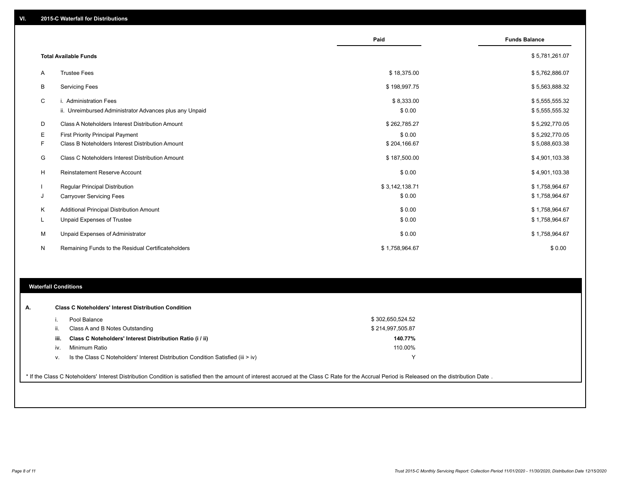|    |                                                         | Paid           | <b>Funds Balance</b> |
|----|---------------------------------------------------------|----------------|----------------------|
|    | <b>Total Available Funds</b>                            |                | \$5,781,261.07       |
| A  | <b>Trustee Fees</b>                                     | \$18,375.00    | \$5,762,886.07       |
| В  | <b>Servicing Fees</b>                                   | \$198,997.75   | \$5,563,888.32       |
| C  | i. Administration Fees                                  | \$8,333.00     | \$5,555,555.32       |
|    | ii. Unreimbursed Administrator Advances plus any Unpaid | \$0.00         | \$5,555,555.32       |
| D  | Class A Noteholders Interest Distribution Amount        | \$262,785.27   | \$5,292,770.05       |
| Е  | <b>First Priority Principal Payment</b>                 | \$0.00         | \$5,292,770.05       |
| F. | Class B Noteholders Interest Distribution Amount        | \$204,166.67   | \$5,088,603.38       |
| G  | <b>Class C Noteholders Interest Distribution Amount</b> | \$187,500.00   | \$4,901,103.38       |
| H  | <b>Reinstatement Reserve Account</b>                    | \$0.00         | \$4,901,103.38       |
|    | Regular Principal Distribution                          | \$3,142,138.71 | \$1,758,964.67       |
| J  | <b>Carryover Servicing Fees</b>                         | \$0.00         | \$1,758,964.67       |
| K  | Additional Principal Distribution Amount                | \$0.00         | \$1,758,964.67       |
| L  | Unpaid Expenses of Trustee                              | \$0.00         | \$1,758,964.67       |
| м  | Unpaid Expenses of Administrator                        | \$0.00         | \$1,758,964.67       |
| N  | Remaining Funds to the Residual Certificateholders      | \$1,758,964.67 | \$0.00               |

#### **Waterfall Conditions**

|      | Pool Balance                                                                       | \$302,650,524.52 |  |
|------|------------------------------------------------------------------------------------|------------------|--|
|      | Class A and B Notes Outstanding                                                    | \$214,997,505.87 |  |
| iii. | Class C Noteholders' Interest Distribution Ratio (i / ii)                          | 140.77%          |  |
| iv.  | Minimum Ratio                                                                      | 110.00%          |  |
| V.   | Is the Class C Noteholders' Interest Distribution Condition Satisfied (iii $>$ iv) |                  |  |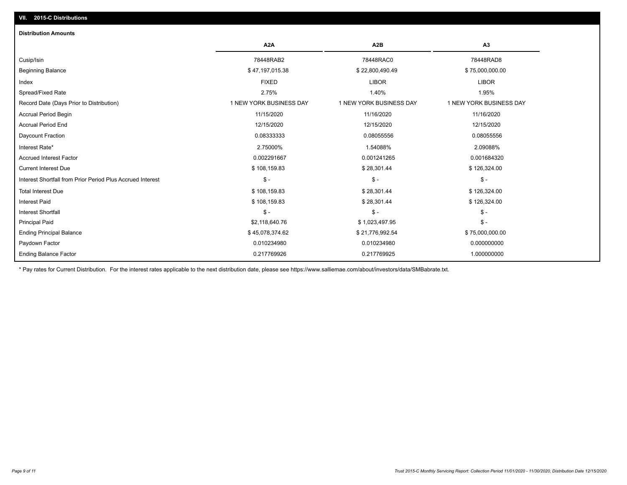## **VII. 2015-C Distributions**

| <b>Distribution Amounts</b>                                |                         |                         |                         |
|------------------------------------------------------------|-------------------------|-------------------------|-------------------------|
|                                                            | A <sub>2</sub> A        | A <sub>2</sub> B        | A <sub>3</sub>          |
| Cusip/Isin                                                 | 78448RAB2               | 78448RAC0               | 78448RAD8               |
| <b>Beginning Balance</b>                                   | \$47,197,015.38         | \$22,800,490.49         | \$75,000,000.00         |
| Index                                                      | <b>FIXED</b>            | <b>LIBOR</b>            | <b>LIBOR</b>            |
| Spread/Fixed Rate                                          | 2.75%                   | 1.40%                   | 1.95%                   |
| Record Date (Days Prior to Distribution)                   | 1 NEW YORK BUSINESS DAY | 1 NEW YORK BUSINESS DAY | 1 NEW YORK BUSINESS DAY |
| Accrual Period Begin                                       | 11/15/2020              | 11/16/2020              | 11/16/2020              |
| <b>Accrual Period End</b>                                  | 12/15/2020              | 12/15/2020              | 12/15/2020              |
| Daycount Fraction                                          | 0.08333333              | 0.08055556              | 0.08055556              |
| Interest Rate*                                             | 2.75000%                | 1.54088%                | 2.09088%                |
| <b>Accrued Interest Factor</b>                             | 0.002291667             | 0.001241265             | 0.001684320             |
| <b>Current Interest Due</b>                                | \$108,159.83            | \$28,301.44             | \$126,324.00            |
| Interest Shortfall from Prior Period Plus Accrued Interest | $\mathbb{S}$ -          | $\mathcal{S}$ -         | $\mathsf{\$}$ -         |
| <b>Total Interest Due</b>                                  | \$108,159.83            | \$28,301.44             | \$126,324.00            |
| <b>Interest Paid</b>                                       | \$108,159.83            | \$28,301.44             | \$126,324.00            |
| <b>Interest Shortfall</b>                                  | $\mathcal{S}$ -         | $\frac{1}{2}$           | $$ -$                   |
| <b>Principal Paid</b>                                      | \$2,118,640.76          | \$1,023,497.95          | $$ -$                   |
| <b>Ending Principal Balance</b>                            | \$45,078,374.62         | \$21,776,992.54         | \$75,000,000.00         |
| Paydown Factor                                             | 0.010234980             | 0.010234980             | 0.000000000             |
| <b>Ending Balance Factor</b>                               | 0.217769926             | 0.217769925             | 1.000000000             |

\* Pay rates for Current Distribution. For the interest rates applicable to the next distribution date, please see https://www.salliemae.com/about/investors/data/SMBabrate.txt.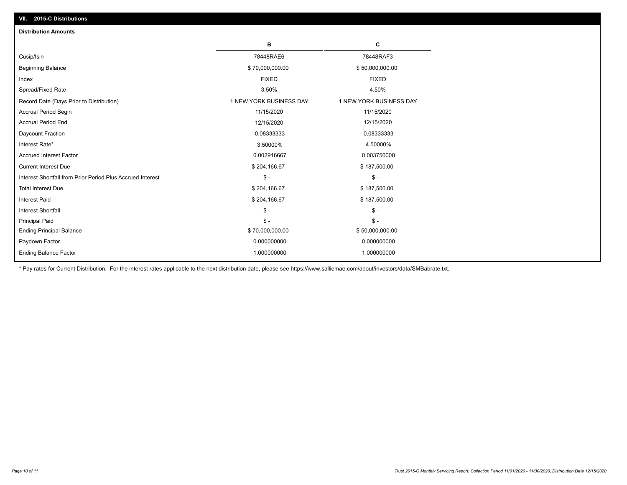| <b>Distribution Amounts</b>                                |                         |                         |  |  |
|------------------------------------------------------------|-------------------------|-------------------------|--|--|
|                                                            | в                       | C                       |  |  |
| Cusip/Isin                                                 | 78448RAE6               | 78448RAF3               |  |  |
| <b>Beginning Balance</b>                                   | \$70,000,000.00         | \$50,000,000.00         |  |  |
| Index                                                      | <b>FIXED</b>            | <b>FIXED</b>            |  |  |
| Spread/Fixed Rate                                          | 3.50%                   | 4.50%                   |  |  |
| Record Date (Days Prior to Distribution)                   | 1 NEW YORK BUSINESS DAY | 1 NEW YORK BUSINESS DAY |  |  |
| <b>Accrual Period Begin</b>                                | 11/15/2020              | 11/15/2020              |  |  |
| <b>Accrual Period End</b>                                  | 12/15/2020              | 12/15/2020              |  |  |
| Daycount Fraction                                          | 0.08333333              | 0.08333333              |  |  |
| Interest Rate*                                             | 3.50000%                | 4.50000%                |  |  |
| <b>Accrued Interest Factor</b>                             | 0.002916667             | 0.003750000             |  |  |
| <b>Current Interest Due</b>                                | \$204,166.67            | \$187,500.00            |  |  |
| Interest Shortfall from Prior Period Plus Accrued Interest | $\mathsf{\$}$ -         | $\mathsf{\$}$ -         |  |  |
| <b>Total Interest Due</b>                                  | \$204,166.67            | \$187,500.00            |  |  |
| <b>Interest Paid</b>                                       | \$204,166.67            | \$187,500.00            |  |  |
| <b>Interest Shortfall</b>                                  | $\mathsf{\$}$ -         | $\mathsf{\$}$ -         |  |  |
| <b>Principal Paid</b>                                      | $\mathsf{\$}$ -         | $\mathbb{S}$ -          |  |  |
| <b>Ending Principal Balance</b>                            | \$70,000,000.00         | \$50,000,000.00         |  |  |
| Paydown Factor                                             | 0.000000000             | 0.000000000             |  |  |
| <b>Ending Balance Factor</b>                               | 1.000000000             | 1.000000000             |  |  |

\* Pay rates for Current Distribution. For the interest rates applicable to the next distribution date, please see https://www.salliemae.com/about/investors/data/SMBabrate.txt.

**VII. 2015-C Distributions**